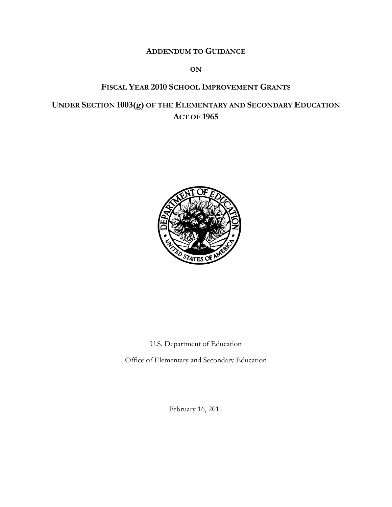# **ADDENDUM TO GUIDANCE**

#### **ON**

# **FISCAL YEAR 2010 SCHOOL IMPROVEMENT GRANTS**

**UNDER SECTION 1003(g) OF THE ELEMENTARY AND SECONDARY EDUCATION ACT OF 1965**



U.S. Department of Education

Office of Elementary and Secondary Education

February 16, 2011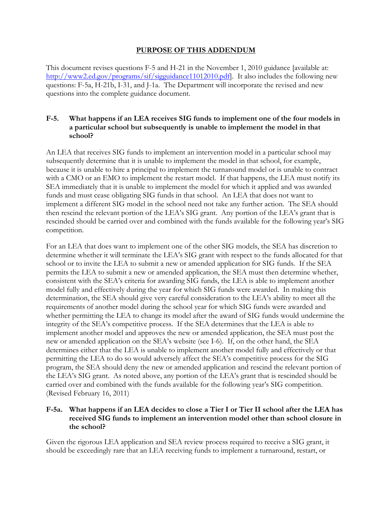#### **PURPOSE OF THIS ADDENDUM**

This document revises questions F-5 and H-21 in the November 1, 2010 guidance [available at: http://www2.ed.gov/programs/sif/sigguidance11012010.pdf. It also includes the following new questions: F-5a, H-21b, I-31, and J-1a. The Department will incorporate the revised and new questions into the complete guidance document.

### **F-5. What happens if an LEA receives SIG funds to implement one of the four models in a particular school but subsequently is unable to implement the model in that school?**

An LEA that receives SIG funds to implement an intervention model in a particular school may subsequently determine that it is unable to implement the model in that school, for example, because it is unable to hire a principal to implement the turnaround model or is unable to contract with a CMO or an EMO to implement the restart model. If that happens, the LEA must notify its SEA immediately that it is unable to implement the model for which it applied and was awarded funds and must cease obligating SIG funds in that school. An LEA that does not want to implement a different SIG model in the school need not take any further action. The SEA should then rescind the relevant portion of the LEA's SIG grant. Any portion of the LEA's grant that is rescinded should be carried over and combined with the funds available for the following year's SIG competition.

For an LEA that does want to implement one of the other SIG models, the SEA has discretion to determine whether it will terminate the LEA's SIG grant with respect to the funds allocated for that school or to invite the LEA to submit a new or amended application for SIG funds. If the SEA permits the LEA to submit a new or amended application, the SEA must then determine whether, consistent with the SEA's criteria for awarding SIG funds, the LEA is able to implement another model fully and effectively during the year for which SIG funds were awarded. In making this determination, the SEA should give very careful consideration to the LEA's ability to meet all the requirements of another model during the school year for which SIG funds were awarded and whether permitting the LEA to change its model after the award of SIG funds would undermine the integrity of the SEA's competitive process. If the SEA determines that the LEA is able to implement another model and approves the new or amended application, the SEA must post the new or amended application on the SEA's website (see I-6). If, on the other hand, the SEA determines either that the LEA is unable to implement another model fully and effectively or that permitting the LEA to do so would adversely affect the SEA's competitive process for the SIG program, the SEA should deny the new or amended application and rescind the relevant portion of the LEA's SIG grant. As noted above, any portion of the LEA's grant that is rescinded should be carried over and combined with the funds available for the following year's SIG competition. (Revised February 16, 2011)

### **F-5a. What happens if an LEA decides to close a Tier I or Tier II school after the LEA has received SIG funds to implement an intervention model other than school closure in the school?**

Given the rigorous LEA application and SEA review process required to receive a SIG grant, it should be exceedingly rare that an LEA receiving funds to implement a turnaround, restart, or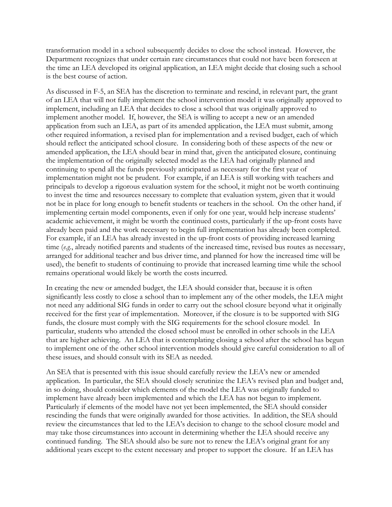transformation model in a school subsequently decides to close the school instead. However, the Department recognizes that under certain rare circumstances that could not have been foreseen at the time an LEA developed its original application, an LEA might decide that closing such a school is the best course of action.

As discussed in F-5, an SEA has the discretion to terminate and rescind, in relevant part, the grant of an LEA that will not fully implement the school intervention model it was originally approved to implement, including an LEA that decides to close a school that was originally approved to implement another model. If, however, the SEA is willing to accept a new or an amended application from such an LEA, as part of its amended application, the LEA must submit, among other required information, a revised plan for implementation and a revised budget, each of which should reflect the anticipated school closure. In considering both of these aspects of the new or amended application, the LEA should bear in mind that, given the anticipated closure, continuing the implementation of the originally selected model as the LEA had originally planned and continuing to spend all the funds previously anticipated as necessary for the first year of implementation might not be prudent. For example, if an LEA is still working with teachers and principals to develop a rigorous evaluation system for the school, it might not be worth continuing to invest the time and resources necessary to complete that evaluation system, given that it would not be in place for long enough to benefit students or teachers in the school. On the other hand, if implementing certain model components, even if only for one year, would help increase students' academic achievement, it might be worth the continued costs, particularly if the up-front costs have already been paid and the work necessary to begin full implementation has already been completed. For example, if an LEA has already invested in the up-front costs of providing increased learning time (*e.g.*, already notified parents and students of the increased time, revised bus routes as necessary, arranged for additional teacher and bus driver time, and planned for how the increased time will be used), the benefit to students of continuing to provide that increased learning time while the school remains operational would likely be worth the costs incurred.

In creating the new or amended budget, the LEA should consider that, because it is often significantly less costly to close a school than to implement any of the other models, the LEA might not need any additional SIG funds in order to carry out the school closure beyond what it originally received for the first year of implementation. Moreover, if the closure is to be supported with SIG funds, the closure must comply with the SIG requirements for the school closure model. In particular, students who attended the closed school must be enrolled in other schools in the LEA that are higher achieving. An LEA that is contemplating closing a school after the school has begun to implement one of the other school intervention models should give careful consideration to all of these issues, and should consult with its SEA as needed.

An SEA that is presented with this issue should carefully review the LEA's new or amended application. In particular, the SEA should closely scrutinize the LEA's revised plan and budget and, in so doing, should consider which elements of the model the LEA was originally funded to implement have already been implemented and which the LEA has not begun to implement. Particularly if elements of the model have not yet been implemented, the SEA should consider rescinding the funds that were originally awarded for those activities. In addition, the SEA should review the circumstances that led to the LEA's decision to change to the school closure model and may take those circumstances into account in determining whether the LEA should receive any continued funding. The SEA should also be sure not to renew the LEA's original grant for any additional years except to the extent necessary and proper to support the closure. If an LEA has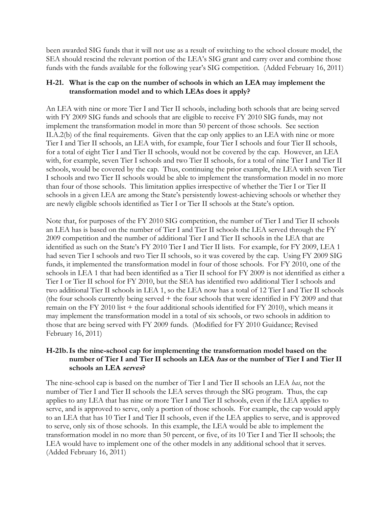been awarded SIG funds that it will not use as a result of switching to the school closure model, the SEA should rescind the relevant portion of the LEA's SIG grant and carry over and combine those funds with the funds available for the following year's SIG competition. (Added February 16, 2011)

### **H-21. What is the cap on the number of schools in which an LEA may implement the transformation model and to which LEAs does it apply?**

An LEA with nine or more Tier I and Tier II schools, including both schools that are being served with FY 2009 SIG funds and schools that are eligible to receive FY 2010 SIG funds, may not implement the transformation model in more than 50 percent of those schools. See section II.A.2(b) of the final requirements. Given that the cap only applies to an LEA with nine or more Tier I and Tier II schools, an LEA with, for example, four Tier I schools and four Tier II schools, for a total of eight Tier I and Tier II schools, would not be covered by the cap. However, an LEA with, for example, seven Tier I schools and two Tier II schools, for a total of nine Tier I and Tier II schools, would be covered by the cap. Thus, continuing the prior example, the LEA with seven Tier I schools and two Tier II schools would be able to implement the transformation model in no more than four of those schools. This limitation applies irrespective of whether the Tier I or Tier II schools in a given LEA are among the State's persistently lowest-achieving schools or whether they are newly eligible schools identified as Tier I or Tier II schools at the State's option.

Note that, for purposes of the FY 2010 SIG competition, the number of Tier I and Tier II schools an LEA has is based on the number of Tier I and Tier II schools the LEA served through the FY 2009 competition and the number of additional Tier I and Tier II schools in the LEA that are identified as such on the State's FY 2010 Tier I and Tier II lists. For example, for FY 2009, LEA 1 had seven Tier I schools and two Tier II schools, so it was covered by the cap. Using FY 2009 SIG funds, it implemented the transformation model in four of those schools. For FY 2010, one of the schools in LEA 1 that had been identified as a Tier II school for FY 2009 is not identified as either a Tier I or Tier II school for FY 2010, but the SEA has identified two additional Tier I schools and two additional Tier II schools in LEA 1, so the LEA now has a total of 12 Tier I and Tier II schools (the four schools currently being served + the four schools that were identified in FY 2009 and that remain on the FY 2010 list + the four additional schools identified for FY 2010), which means it may implement the transformation model in a total of six schools, or two schools in addition to those that are being served with FY 2009 funds. (Modified for FY 2010 Guidance; Revised February 16, 2011)

## **H-21b.Is the nine-school cap for implementing the transformation model based on the number of Tier I and Tier II schools an LEA has or the number of Tier I and Tier II schools an LEA serves?**

The nine-school cap is based on the number of Tier I and Tier II schools an LEA *has*, not the number of Tier I and Tier II schools the LEA serves through the SIG program. Thus, the cap applies to any LEA that has nine or more Tier I and Tier II schools, even if the LEA applies to serve, and is approved to serve, only a portion of those schools. For example, the cap would apply to an LEA that has 10 Tier I and Tier II schools, even if the LEA applies to serve, and is approved to serve, only six of those schools. In this example, the LEA would be able to implement the transformation model in no more than 50 percent, or five, of its 10 Tier I and Tier II schools; the LEA would have to implement one of the other models in any additional school that it serves. (Added February 16, 2011)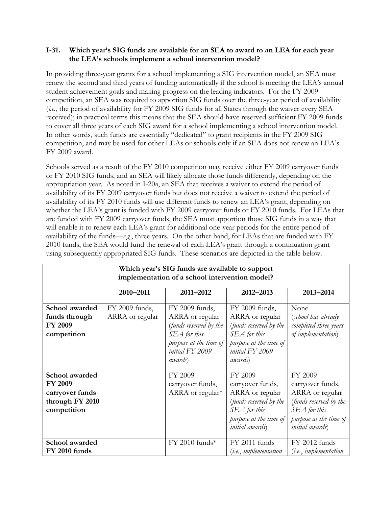### **I-31. Which year's SIG funds are available for an SEA to award to an LEA for each year the LEA's schools implement a school intervention model?**

In providing three-year grants for a school implementing a SIG intervention model, an SEA must renew the second and third years of funding automatically if the school is meeting the LEA's annual student achievement goals and making progress on the leading indicators. For the FY 2009 competition, an SEA was required to apportion SIG funds over the three-year period of availability (*i.e.*, the period of availability for FY 2009 SIG funds for all States through the waiver every SEA received); in practical terms this means that the SEA should have reserved sufficient FY 2009 funds to cover all three years of each SIG award for a school implementing a school intervention model. In other words, such funds are essentially "dedicated" to grant recipients in the FY 2009 SIG competition, and may be used for other LEAs or schools only if an SEA does not renew an LEA's FY 2009 award.

Schools served as a result of the FY 2010 competition may receive either FY 2009 carryover funds or FY 2010 SIG funds, and an SEA will likely allocate those funds differently, depending on the appropriation year. As noted in I-20a, an SEA that receives a waiver to extend the period of availability of its FY 2009 carryover funds but does not receive a waiver to extend the period of availability of its FY 2010 funds will use different funds to renew an LEA's grant, depending on whether the LEA's grant is funded with FY 2009 carryover funds or FY 2010 funds. For LEAs that are funded with FY 2009 carryover funds, the SEA must apportion those SIG funds in a way that will enable it to renew each LEA's grant for additional one-year periods for the entire period of availability of the funds—*e.g.*, three years. On the other hand, for LEAs that are funded with FY 2010 funds, the SEA would fund the renewal of each LEA's grant through a continuation grant using subsequently appropriated SIG funds. These scenarios are depicted in the table below.

| Which year's SIG funds are available to support<br>implementation of a school intervention model? |                                   |                                                                                                                                             |                                                                                                                                              |                                                                                                                                              |  |  |  |
|---------------------------------------------------------------------------------------------------|-----------------------------------|---------------------------------------------------------------------------------------------------------------------------------------------|----------------------------------------------------------------------------------------------------------------------------------------------|----------------------------------------------------------------------------------------------------------------------------------------------|--|--|--|
|                                                                                                   | 2010-2011                         | 2011-2012                                                                                                                                   | 2012-2013                                                                                                                                    | 2013-2014                                                                                                                                    |  |  |  |
| School awarded<br>funds through<br><b>FY 2009</b><br>competition                                  | FY 2009 funds,<br>ARRA or regular | FY 2009 funds,<br>ARRA or regular<br>(funds reserved by the<br>SEA for this<br>purpose at the time of<br>initial FY 2009<br><i>awards</i> ) | FY 2009 funds,<br>ARRA or regular<br>(funds reserved by the<br>SEA for this<br>purpose at the time of<br>initial FY 2009<br><i>awards</i> )  | None<br>(school has already<br>completed three years<br>of <i>implementation</i> )                                                           |  |  |  |
| School awarded<br><b>FY 2009</b><br>carryover funds<br>through FY 2010<br>competition             |                                   | FY 2009<br>carryover funds,<br>ARRA or regular*                                                                                             | FY 2009<br>carryover funds,<br>ARRA or regular<br>(funds reserved by the<br>SEA for this<br>purpose at the time of<br><i>initial</i> awards) | FY 2009<br>carryover funds,<br>ARRA or regular<br>(funds reserved by the<br>SEA for this<br>purpose at the time of<br><i>initial</i> awards) |  |  |  |
| School awarded<br>FY 2010 funds                                                                   |                                   | FY 2010 funds*                                                                                                                              | FY 2011 funds<br>( <i>i.e.</i> , <i>implementation</i>                                                                                       | FY 2012 funds<br>( <i>i.e.</i> , <i>implementation</i>                                                                                       |  |  |  |